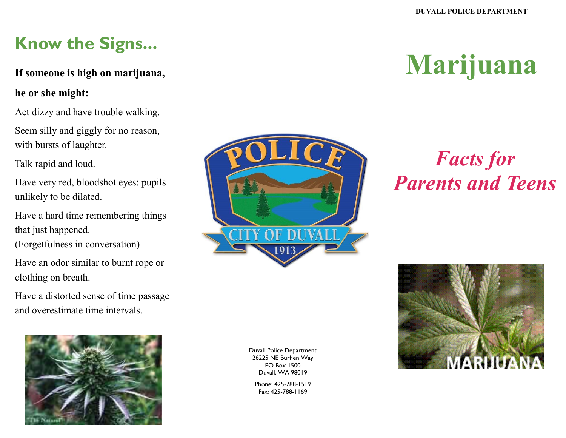### **Know the Signs...**

#### **If someone is high on marijuana,**

#### **he or she might:**

Act dizzy and have trouble walking.

Seem silly and giggly for no reason, with bursts of laughter.

Talk rapid and loud.

Have very red, bloodshot eyes: pupils unlikely to be dilated.

Have a hard time remembering things that just happened.

(Forgetfulness in conversation)

Have an odor similar to burnt rope or clothing on breath.

Have a distorted sense of time passage and overestimate time intervals.



# **Marijuana**

## *Facts for Parents and Teens*



Duvall Police Department 26225 NE Burhen Way PO Box 1500 Duvall, WA 98019

Phone: 425-788-1519 Fax: 425-788-1169